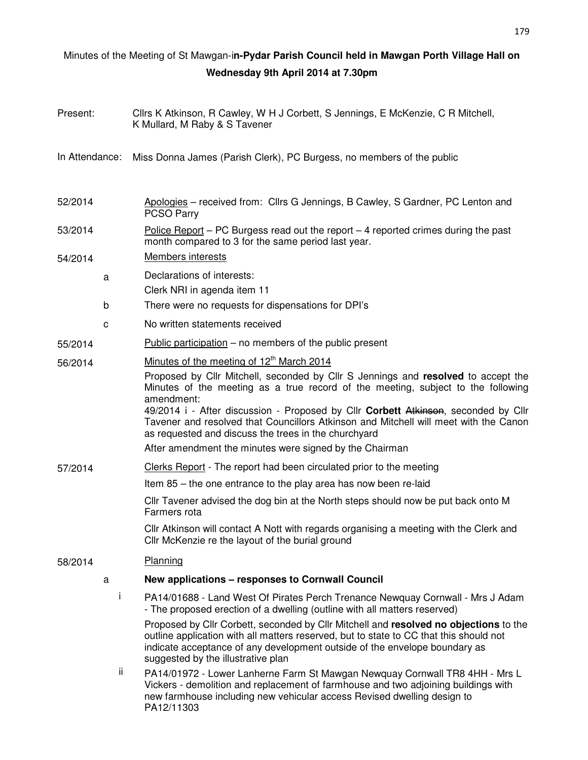## Minutes of the Meeting of St Mawgan-i**n-Pydar Parish Council held in Mawgan Porth Village Hall on Wednesday 9th April 2014 at 7.30pm**

| Present:       |     | Cllrs K Atkinson, R Cawley, W H J Corbett, S Jennings, E McKenzie, C R Mitchell,<br>K Mullard, M Raby & S Tavener                                                                                                                                                                                                                                                                                                         |  |  |  |  |
|----------------|-----|---------------------------------------------------------------------------------------------------------------------------------------------------------------------------------------------------------------------------------------------------------------------------------------------------------------------------------------------------------------------------------------------------------------------------|--|--|--|--|
| In Attendance: |     | Miss Donna James (Parish Clerk), PC Burgess, no members of the public                                                                                                                                                                                                                                                                                                                                                     |  |  |  |  |
| 52/2014        |     | Apologies – received from: Cllrs G Jennings, B Cawley, S Gardner, PC Lenton and<br><b>PCSO Parry</b>                                                                                                                                                                                                                                                                                                                      |  |  |  |  |
| 53/2014        |     | Police Report – PC Burgess read out the report – 4 reported crimes during the past<br>month compared to 3 for the same period last year.                                                                                                                                                                                                                                                                                  |  |  |  |  |
| 54/2014        |     | Members interests                                                                                                                                                                                                                                                                                                                                                                                                         |  |  |  |  |
|                | a   | Declarations of interests:                                                                                                                                                                                                                                                                                                                                                                                                |  |  |  |  |
|                |     | Clerk NRI in agenda item 11                                                                                                                                                                                                                                                                                                                                                                                               |  |  |  |  |
|                | b   | There were no requests for dispensations for DPI's                                                                                                                                                                                                                                                                                                                                                                        |  |  |  |  |
|                | C   | No written statements received                                                                                                                                                                                                                                                                                                                                                                                            |  |  |  |  |
| 55/2014        |     | Public participation $-$ no members of the public present                                                                                                                                                                                                                                                                                                                                                                 |  |  |  |  |
| 56/2014        |     | Minutes of the meeting of 12 <sup>th</sup> March 2014                                                                                                                                                                                                                                                                                                                                                                     |  |  |  |  |
|                |     | Proposed by Cllr Mitchell, seconded by Cllr S Jennings and resolved to accept the<br>Minutes of the meeting as a true record of the meeting, subject to the following<br>amendment:<br>49/2014 i - After discussion - Proposed by Cllr Corbett Atkinson, seconded by Cllr<br>Tavener and resolved that Councillors Atkinson and Mitchell will meet with the Canon<br>as requested and discuss the trees in the churchyard |  |  |  |  |
|                |     | After amendment the minutes were signed by the Chairman                                                                                                                                                                                                                                                                                                                                                                   |  |  |  |  |
| 57/2014        |     | Clerks Report - The report had been circulated prior to the meeting                                                                                                                                                                                                                                                                                                                                                       |  |  |  |  |
|                |     | Item 85 – the one entrance to the play area has now been re-laid                                                                                                                                                                                                                                                                                                                                                          |  |  |  |  |
|                |     | CIIr Tavener advised the dog bin at the North steps should now be put back onto M<br>Farmers rota                                                                                                                                                                                                                                                                                                                         |  |  |  |  |
|                |     | CIIr Atkinson will contact A Nott with regards organising a meeting with the Clerk and<br>Cllr McKenzie re the layout of the burial ground                                                                                                                                                                                                                                                                                |  |  |  |  |
| 58/2014        |     | <b>Planning</b>                                                                                                                                                                                                                                                                                                                                                                                                           |  |  |  |  |
|                | a   | New applications - responses to Cornwall Council                                                                                                                                                                                                                                                                                                                                                                          |  |  |  |  |
|                | Ť   | PA14/01688 - Land West Of Pirates Perch Trenance Newquay Cornwall - Mrs J Adam<br>- The proposed erection of a dwelling (outline with all matters reserved)                                                                                                                                                                                                                                                               |  |  |  |  |
|                |     | Proposed by Cllr Corbett, seconded by Cllr Mitchell and resolved no objections to the<br>outline application with all matters reserved, but to state to CC that this should not<br>indicate acceptance of any development outside of the envelope boundary as<br>suggested by the illustrative plan                                                                                                                       |  |  |  |  |
|                | ij. | PA14/01972 - Lower Lanherne Farm St Mawgan Newquay Cornwall TR8 4HH - Mrs L<br>Vickers - demolition and replacement of farmhouse and two adjoining buildings with<br>new farmhouse including new vehicular access Revised dwelling design to<br>PA12/11303                                                                                                                                                                |  |  |  |  |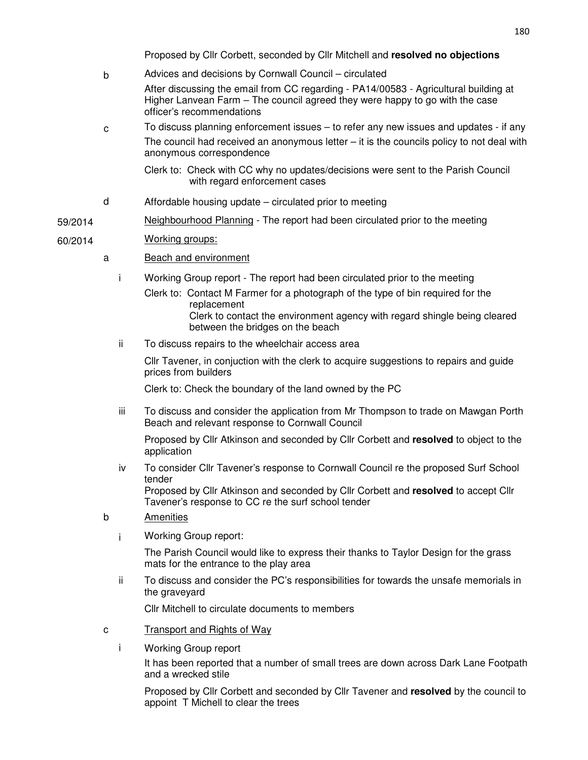Proposed by Cllr Corbett, seconded by Cllr Mitchell and **resolved no objections**

- b Advices and decisions by Cornwall Council circulated After discussing the email from CC regarding - PA14/00583 - Agricultural building at Higher Lanvean Farm – The council agreed they were happy to go with the case officer's recommendations
- $c \overline{c}$  To discuss planning enforcement issues to refer any new issues and updates if any The council had received an anonymous letter  $-$  it is the councils policy to not deal with anonymous correspondence

Clerk to: Check with CC why no updates/decisions were sent to the Parish Council with regard enforcement cases

- d Affordable housing update circulated prior to meeting
- 59/2014 Neighbourhood Planning The report had been circulated prior to the meeting

## 60/2014 Working groups:

## a Beach and environment

- i Working Group report The report had been circulated prior to the meeting
	- Clerk to: Contact M Farmer for a photograph of the type of bin required for the replacement
		- Clerk to contact the environment agency with regard shingle being cleared between the bridges on the beach
- ii To discuss repairs to the wheelchair access area

Cllr Tavener, in conjuction with the clerk to acquire suggestions to repairs and guide prices from builders

Clerk to: Check the boundary of the land owned by the PC

iii To discuss and consider the application from Mr Thompson to trade on Mawgan Porth Beach and relevant response to Cornwall Council

Proposed by Cllr Atkinson and seconded by Cllr Corbett and **resolved** to object to the application

iv To consider Cllr Tavener's response to Cornwall Council re the proposed Surf School tender

Proposed by Cllr Atkinson and seconded by Cllr Corbett and **resolved** to accept Cllr Tavener's response to CC re the surf school tender

- b Amenities
	- i Working Group report:

The Parish Council would like to express their thanks to Taylor Design for the grass mats for the entrance to the play area

ii To discuss and consider the PC's responsibilities for towards the unsafe memorials in the graveyard

Cllr Mitchell to circulate documents to members

- c Transport and Rights of Way
	- i Working Group report

It has been reported that a number of small trees are down across Dark Lane Footpath and a wrecked stile

Proposed by Cllr Corbett and seconded by Cllr Tavener and **resolved** by the council to appoint T Michell to clear the trees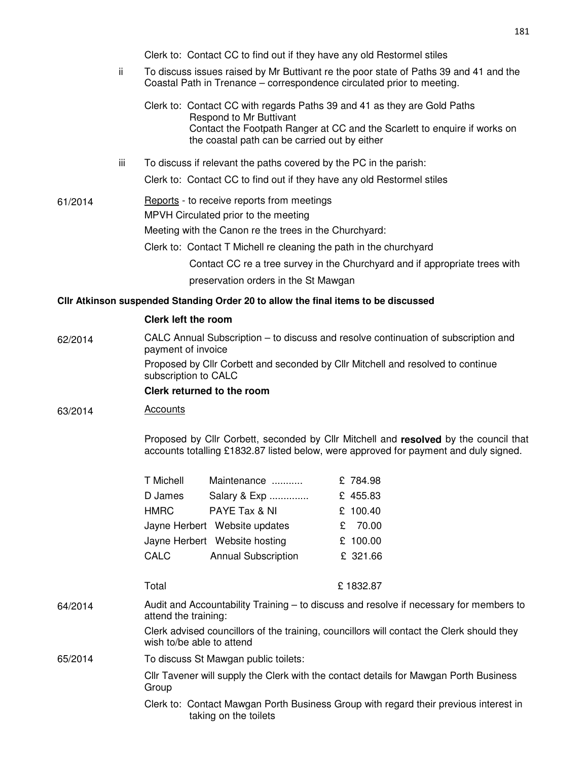|         |     | Clerk to: Contact CC to find out if they have any old Restormel stiles                                                                                                                                             |                                                                                        |                                                                                                                                                       |  |  |
|---------|-----|--------------------------------------------------------------------------------------------------------------------------------------------------------------------------------------------------------------------|----------------------------------------------------------------------------------------|-------------------------------------------------------------------------------------------------------------------------------------------------------|--|--|
|         | ii  | To discuss issues raised by Mr Buttivant re the poor state of Paths 39 and 41 and the<br>Coastal Path in Trenance – correspondence circulated prior to meeting.                                                    |                                                                                        |                                                                                                                                                       |  |  |
|         |     |                                                                                                                                                                                                                    | Respond to Mr Buttivant<br>the coastal path can be carried out by either               | Clerk to: Contact CC with regards Paths 39 and 41 as they are Gold Paths<br>Contact the Footpath Ranger at CC and the Scarlett to enquire if works on |  |  |
|         | iii |                                                                                                                                                                                                                    | To discuss if relevant the paths covered by the PC in the parish:                      |                                                                                                                                                       |  |  |
|         |     | Clerk to: Contact CC to find out if they have any old Restormel stiles                                                                                                                                             |                                                                                        |                                                                                                                                                       |  |  |
| 61/2014 |     | Reports - to receive reports from meetings<br>MPVH Circulated prior to the meeting<br>Meeting with the Canon re the trees in the Churchyard:<br>Clerk to: Contact T Michell re cleaning the path in the churchyard |                                                                                        |                                                                                                                                                       |  |  |
|         |     |                                                                                                                                                                                                                    |                                                                                        | Contact CC re a tree survey in the Churchyard and if appropriate trees with                                                                           |  |  |
|         |     |                                                                                                                                                                                                                    | preservation orders in the St Mawgan                                                   |                                                                                                                                                       |  |  |
|         |     |                                                                                                                                                                                                                    | Cllr Atkinson suspended Standing Order 20 to allow the final items to be discussed     |                                                                                                                                                       |  |  |
|         |     | <b>Clerk left the room</b>                                                                                                                                                                                         |                                                                                        |                                                                                                                                                       |  |  |
| 62/2014 |     | CALC Annual Subscription – to discuss and resolve continuation of subscription and<br>payment of invoice                                                                                                           |                                                                                        |                                                                                                                                                       |  |  |
|         |     | Proposed by Cllr Corbett and seconded by Cllr Mitchell and resolved to continue<br>subscription to CALC                                                                                                            |                                                                                        |                                                                                                                                                       |  |  |
|         |     | Clerk returned to the room                                                                                                                                                                                         |                                                                                        |                                                                                                                                                       |  |  |
| 63/2014 |     | <b>Accounts</b>                                                                                                                                                                                                    |                                                                                        |                                                                                                                                                       |  |  |
|         |     | Proposed by Cllr Corbett, seconded by Cllr Mitchell and resolved by the council that<br>accounts totalling £1832.87 listed below, were approved for payment and duly signed.                                       |                                                                                        |                                                                                                                                                       |  |  |
|         |     | T Michell                                                                                                                                                                                                          | Maintenance                                                                            | £ 784.98                                                                                                                                              |  |  |
|         |     | D James                                                                                                                                                                                                            | Salary & Exp                                                                           | £ 455.83                                                                                                                                              |  |  |
|         |     | <b>HMRC</b>                                                                                                                                                                                                        | PAYE Tax & NI                                                                          | £ 100.40                                                                                                                                              |  |  |
|         |     |                                                                                                                                                                                                                    | Jayne Herbert Website updates                                                          | 70.00<br>£                                                                                                                                            |  |  |
|         |     |                                                                                                                                                                                                                    | Jayne Herbert Website hosting                                                          | £ 100.00                                                                                                                                              |  |  |
|         |     | CALC                                                                                                                                                                                                               | <b>Annual Subscription</b>                                                             | £ 321.66                                                                                                                                              |  |  |
|         |     | Total                                                                                                                                                                                                              |                                                                                        | £1832.87                                                                                                                                              |  |  |
| 64/2014 |     | attend the training:                                                                                                                                                                                               | Audit and Accountability Training – to discuss and resolve if necessary for members to |                                                                                                                                                       |  |  |
|         |     | Clerk advised councillors of the training, councillors will contact the Clerk should they<br>wish to/be able to attend                                                                                             |                                                                                        |                                                                                                                                                       |  |  |
| 65/2014 |     | To discuss St Mawgan public toilets:                                                                                                                                                                               |                                                                                        |                                                                                                                                                       |  |  |
|         |     | Cllr Tavener will supply the Clerk with the contact details for Mawgan Porth Business<br>Group                                                                                                                     |                                                                                        |                                                                                                                                                       |  |  |
|         |     |                                                                                                                                                                                                                    | taking on the toilets                                                                  | Clerk to: Contact Mawgan Porth Business Group with regard their previous interest in                                                                  |  |  |
|         |     |                                                                                                                                                                                                                    |                                                                                        |                                                                                                                                                       |  |  |